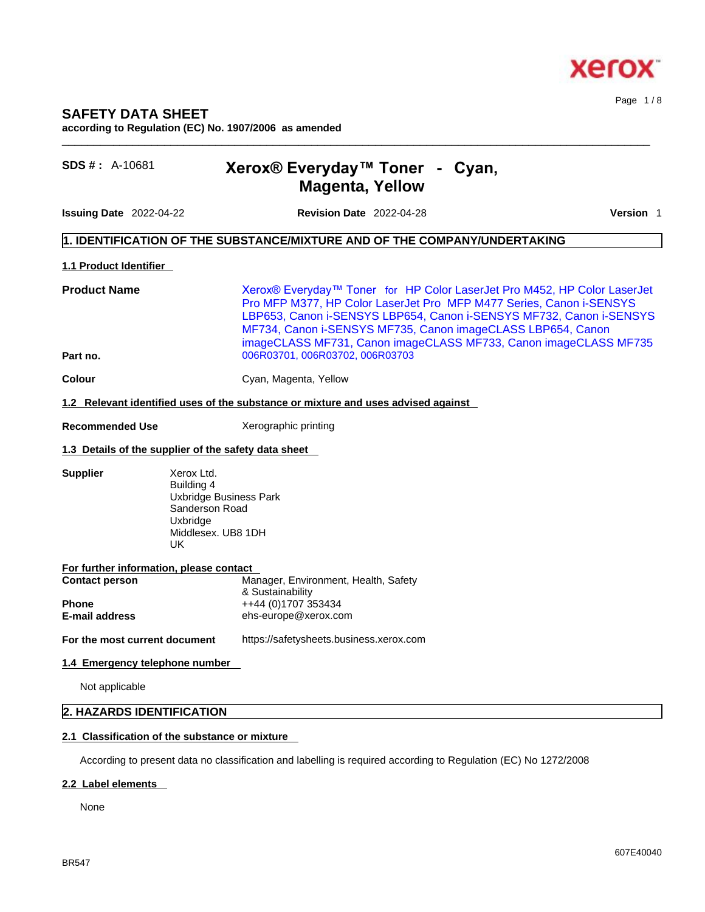

**according to Regulation (EC) No. 1907/2006 as amended** 

# **SDS # :** A-10681 **Xerox® Everyday™ Toner -Cyan, Magenta, Yellow**

**Issuing Date** 2022-04-22 **Revision Date** 2022-04-28 **Version** 1

Page 1 / 8

## **1. IDENTIFICATION OF THE SUBSTANCE/MIXTURE AND OF THE COMPANY/UNDERTAKING**

### **1.1 Product Identifier**

**Product Name** Xerox® Everyday™ Toner for HP Color LaserJet Pro M452, HP Color LaserJet Pro MFP M377, HP Color LaserJet Pro MFP M477 Series, Canon i-SENSYS LBP653, Canon i-SENSYS LBP654, Canon i-SENSYS MF732, Canon i-SENSYS MF734, Canon i-SENSYS MF735, Canon imageCLASS LBP654, Canon imageCLASS MF731, Canon imageCLASS MF733, Canon imageCLASS MF735 **Part no.** 006R03701, 006R03702, 006R03703

 $\_$  ,  $\_$  ,  $\_$  ,  $\_$  ,  $\_$  ,  $\_$  ,  $\_$  ,  $\_$  ,  $\_$  ,  $\_$  ,  $\_$  ,  $\_$  ,  $\_$  ,  $\_$  ,  $\_$  ,  $\_$  ,  $\_$  ,  $\_$  ,  $\_$  ,  $\_$  ,  $\_$  ,  $\_$  ,  $\_$  ,  $\_$  ,  $\_$  ,  $\_$  ,  $\_$  ,  $\_$  ,  $\_$  ,  $\_$  ,  $\_$  ,  $\_$  ,  $\_$  ,  $\_$  ,  $\_$  ,  $\_$  ,  $\_$  ,

**Colour** Cyan, Magenta, Yellow

### **1.2 Relevant identified uses of the substance or mixture and uses advised against**

**Recommended Use** Xerographic printing

### **1.3 Details of the supplier of the safety data sheet**

**Supplier** Xerox Ltd.

Building 4 Uxbridge Business Park Sanderson Road Uxbridge Middlesex. UB8 1DH<br>UK UK

| For further information, please contact |                                                          |
|-----------------------------------------|----------------------------------------------------------|
| <b>Contact person</b>                   | Manager, Environment, Health, Safety<br>& Sustainability |
| <b>Phone</b><br><b>E-mail address</b>   | ++44 (0)1707 353434<br>ehs-europe@xerox.com              |
| For the most current document           | https://safetysheets.business.xerox.com                  |

## **1.4 Emergency telephone number**

Not applicable

# **2. HAZARDS IDENTIFICATION**

# **2.1 Classification of the substance or mixture**

According to present data no classification and labelling is required according to Regulation (EC) No 1272/2008

# **2.2 Label elements**

None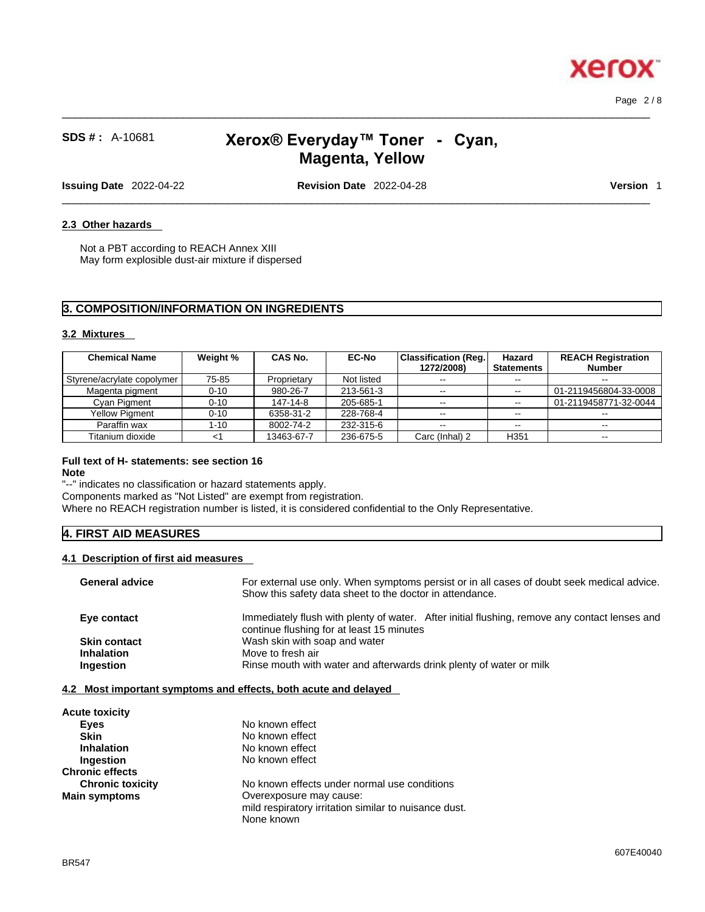Page 2 / 8

**Xero** 

**2.3 Other hazards** 

# **SDS # :** A-10681 **Xerox® Everyday™ Toner -Cyan, Magenta, Yellow**

 $\_$  ,  $\_$  ,  $\_$  ,  $\_$  ,  $\_$  ,  $\_$  ,  $\_$  ,  $\_$  ,  $\_$  ,  $\_$  ,  $\_$  ,  $\_$  ,  $\_$  ,  $\_$  ,  $\_$  ,  $\_$  ,  $\_$  ,  $\_$  ,  $\_$  ,  $\_$  ,  $\_$  ,  $\_$  ,  $\_$  ,  $\_$  ,  $\_$  ,  $\_$  ,  $\_$  ,  $\_$  ,  $\_$  ,  $\_$  ,  $\_$  ,  $\_$  ,  $\_$  ,  $\_$  ,  $\_$  ,  $\_$  ,  $\_$  ,

**Issuing Date** 2022-04-22 **Revision Date** 2022-04-28 **Version** 1

 $\_$  ,  $\_$  ,  $\_$  ,  $\_$  ,  $\_$  ,  $\_$  ,  $\_$  ,  $\_$  ,  $\_$  ,  $\_$  ,  $\_$  ,  $\_$  ,  $\_$  ,  $\_$  ,  $\_$  ,  $\_$  ,  $\_$  ,  $\_$  ,  $\_$  ,  $\_$  ,  $\_$  ,  $\_$  ,  $\_$  ,  $\_$  ,  $\_$  ,  $\_$  ,  $\_$  ,  $\_$  ,  $\_$  ,  $\_$  ,  $\_$  ,  $\_$  ,  $\_$  ,  $\_$  ,  $\_$  ,  $\_$  ,  $\_$  ,

Not a PBT according to REACH Annex XIII May form explosible dust-air mixture if dispersed

# **3. COMPOSITION/INFORMATION ON INGREDIENTS**

### **3.2 Mixtures**

| <b>Chemical Name</b>         | Weight % | <b>CAS No.</b> | <b>EC-No</b> | <b>Classification (Reg.)</b><br>1272/2008) | Hazard<br><b>Statements</b> | <b>REACH Registration</b><br><b>Number</b> |  |
|------------------------------|----------|----------------|--------------|--------------------------------------------|-----------------------------|--------------------------------------------|--|
| Styrene/acrylate copolymer I | 75-85    | Proprietary    | Not listed   | $- -$                                      |                             |                                            |  |
| Magenta pigment              | $0 - 10$ | 980-26-7       | 213-561-3    | $- -$                                      | $\sim$                      | 01-2119456804-33-0008                      |  |
| Cvan Pigment                 | $0 - 10$ | 147-14-8       | 205-685-1    | $\sim$ $\sim$                              | $\sim$ $\sim$               | 01-2119458771-32-0044                      |  |
| <b>Yellow Pigment</b>        | $0 - 10$ | 6358-31-2      | 228-768-4    | $- -$                                      | $- -$                       | $- -$                                      |  |
| Paraffin wax                 | $1 - 10$ | 8002-74-2      | 232-315-6    | $- -$                                      | $-1$                        | $-$                                        |  |
| Titanium dioxide             |          | 13463-67-7     | 236-675-5    | Carc (Inhal) 2                             | H <sub>351</sub>            | $-$                                        |  |

# **Full text of H- statements: see section 16**

**Note**

"--" indicates no classification or hazard statements apply. Components marked as "Not Listed" are exempt from registration. Where no REACH registration number is listed, it is considered confidential to the Only Representative.

# **4. FIRST AID MEASURES**

### **4.1 Description of first aid measures**

| For external use only. When symptoms persist or in all cases of doubt seek medical advice.<br><b>General advice</b><br>Show this safety data sheet to the doctor in attendance. |  |
|---------------------------------------------------------------------------------------------------------------------------------------------------------------------------------|--|
| Immediately flush with plenty of water. After initial flushing, remove any contact lenses and<br>Eye contact<br>continue flushing for at least 15 minutes                       |  |
| Wash skin with soap and water<br><b>Skin contact</b>                                                                                                                            |  |
| Move to fresh air<br><b>Inhalation</b>                                                                                                                                          |  |
| Rinse mouth with water and afterwards drink plenty of water or milk<br><b>Ingestion</b>                                                                                         |  |

### **4.2 Most important symptoms and effects, both acute and delayed**

| <b>Acute toxicity</b>   |                                                       |
|-------------------------|-------------------------------------------------------|
| Eyes                    | No known effect                                       |
| <b>Skin</b>             | No known effect                                       |
| <b>Inhalation</b>       | No known effect                                       |
| Ingestion               | No known effect                                       |
| <b>Chronic effects</b>  |                                                       |
| <b>Chronic toxicity</b> | No known effects under normal use conditions          |
| <b>Main symptoms</b>    | Overexposure may cause:                               |
|                         | mild respiratory irritation similar to nuisance dust. |
|                         | None known                                            |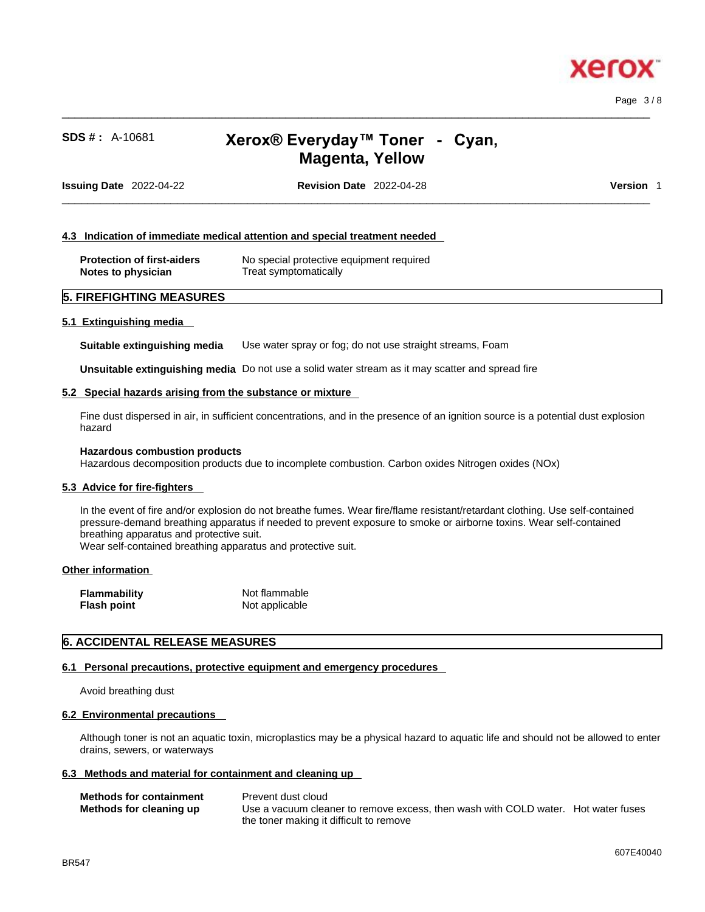

Page 3 / 8

# **SDS # :** A-10681 **Xerox® Everyday™ Toner -Cyan, Magenta, Yellow**

 $\_$  ,  $\_$  ,  $\_$  ,  $\_$  ,  $\_$  ,  $\_$  ,  $\_$  ,  $\_$  ,  $\_$  ,  $\_$  ,  $\_$  ,  $\_$  ,  $\_$  ,  $\_$  ,  $\_$  ,  $\_$  ,  $\_$  ,  $\_$  ,  $\_$  ,  $\_$  ,  $\_$  ,  $\_$  ,  $\_$  ,  $\_$  ,  $\_$  ,  $\_$  ,  $\_$  ,  $\_$  ,  $\_$  ,  $\_$  ,  $\_$  ,  $\_$  ,  $\_$  ,  $\_$  ,  $\_$  ,  $\_$  ,  $\_$  ,

**Issuing Date** 2022-04-22 **Revision Date** 2022-04-28 **Version** 1

 $\_$  ,  $\_$  ,  $\_$  ,  $\_$  ,  $\_$  ,  $\_$  ,  $\_$  ,  $\_$  ,  $\_$  ,  $\_$  ,  $\_$  ,  $\_$  ,  $\_$  ,  $\_$  ,  $\_$  ,  $\_$  ,  $\_$  ,  $\_$  ,  $\_$  ,  $\_$  ,  $\_$  ,  $\_$  ,  $\_$  ,  $\_$  ,  $\_$  ,  $\_$  ,  $\_$  ,  $\_$  ,  $\_$  ,  $\_$  ,  $\_$  ,  $\_$  ,  $\_$  ,  $\_$  ,  $\_$  ,  $\_$  ,  $\_$  ,

### **4.3 Indication of immediate medical attention and special treatment needed**

| <b>Protection of first-aiders</b> | No special protective equipment required |
|-----------------------------------|------------------------------------------|
| Notes to physician                | Treat symptomatically                    |

# **5. FIREFIGHTING MEASURES**

### **5.1 Extinguishing media**

**Suitable extinguishing media** Use water spray or fog; do not use straight streams, Foam

**Unsuitable extinguishing media** Do not use a solid water stream as it may scatterand spread fire

### **5.2 Special hazards arising from the substance or mixture**

Fine dust dispersed in air, in sufficient concentrations, and in the presence of an ignition source is a potential dust explosion hazard

#### **Hazardous combustion products**

Hazardous decomposition products due to incomplete combustion. Carbon oxides Nitrogen oxides (NOx)

### **5.3 Advice for fire-fighters**

In the event of fire and/or explosion do not breathe fumes. Wear fire/flame resistant/retardant clothing. Use self-contained pressure-demand breathing apparatus if needed to prevent exposure to smoke or airborne toxins. Wear self-contained breathing apparatus and protective suit.

Wear self-contained breathing apparatus and protective suit.

### **Other information**

| <b>Flammability</b> | Not flammable  |
|---------------------|----------------|
| <b>Flash point</b>  | Not applicable |

### **6. ACCIDENTAL RELEASE MEASURES**

### **6.1 Personal precautions, protective equipment and emergency procedures**

Avoid breathing dust

### **6.2 Environmental precautions**

Although toner is not an aquatic toxin, microplastics may be a physical hazard to aquatic life and should not be allowed to enter drains, sewers, or waterways

### **6.3 Methods and material for containment and cleaning up**

| <b>Methods for containment</b> | Prevent dust cloud                                                                |  |
|--------------------------------|-----------------------------------------------------------------------------------|--|
| Methods for cleaning up        | Use a vacuum cleaner to remove excess, then wash with COLD water. Hot water fuses |  |
|                                | the toner making it difficult to remove                                           |  |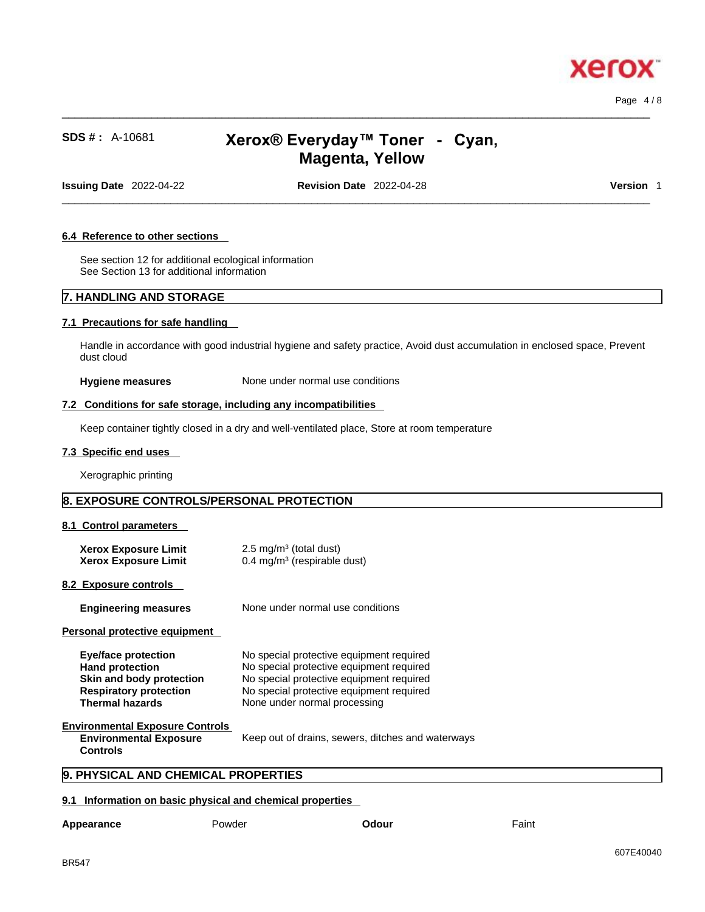

Page 4 / 8

# **SDS # :** A-10681 **Xerox® Everyday™ Toner -Cyan, Magenta, Yellow**

 $\_$  ,  $\_$  ,  $\_$  ,  $\_$  ,  $\_$  ,  $\_$  ,  $\_$  ,  $\_$  ,  $\_$  ,  $\_$  ,  $\_$  ,  $\_$  ,  $\_$  ,  $\_$  ,  $\_$  ,  $\_$  ,  $\_$  ,  $\_$  ,  $\_$  ,  $\_$  ,  $\_$  ,  $\_$  ,  $\_$  ,  $\_$  ,  $\_$  ,  $\_$  ,  $\_$  ,  $\_$  ,  $\_$  ,  $\_$  ,  $\_$  ,  $\_$  ,  $\_$  ,  $\_$  ,  $\_$  ,  $\_$  ,  $\_$  ,

**Issuing Date** 2022-04-22 **Revision Date** 2022-04-28 **Version** 1

 $\_$  ,  $\_$  ,  $\_$  ,  $\_$  ,  $\_$  ,  $\_$  ,  $\_$  ,  $\_$  ,  $\_$  ,  $\_$  ,  $\_$  ,  $\_$  ,  $\_$  ,  $\_$  ,  $\_$  ,  $\_$  ,  $\_$  ,  $\_$  ,  $\_$  ,  $\_$  ,  $\_$  ,  $\_$  ,  $\_$  ,  $\_$  ,  $\_$  ,  $\_$  ,  $\_$  ,  $\_$  ,  $\_$  ,  $\_$  ,  $\_$  ,  $\_$  ,  $\_$  ,  $\_$  ,  $\_$  ,  $\_$  ,  $\_$  ,

### **6.4 Reference to other sections**

See section 12 for additional ecological information See Section 13 for additional information

# **7. HANDLING AND STORAGE**

### **7.1 Precautions for safe handling**

Handle in accordance with good industrial hygiene and safety practice, Avoid dust accumulation in enclosed space, Prevent dust cloud

**Hygiene measures** None under normal use conditions

### **7.2 Conditions for safe storage, including any incompatibilities**

Keep container tightly closed in a dry and well-ventilated place, Store at room temperature

#### **7.3 Specific end uses**

Xerographic printing

# **8. EXPOSURE CONTROLS/PERSONAL PROTECTION**

### **8.1 Control parameters**

| <b>Xerox Exposure Limit</b> | $2.5 \text{ mg/m}^3$ (total dust)      |
|-----------------------------|----------------------------------------|
| <b>Xerox Exposure Limit</b> | $0.4 \text{ mg/m}^3$ (respirable dust) |

### **8.2 Exposure controls**

**Engineering measures** None under normal use conditions

### **Personal protective equipment**

| No special protective equipment required |
|------------------------------------------|
| No special protective equipment required |
| No special protective equipment required |
| No special protective equipment required |
| None under normal processing             |
|                                          |

#### **Environmental Exposure Controls Environmental Exposure**

**Controls**  Keep out of drains, sewers, ditches and waterways

## **9. PHYSICAL AND CHEMICAL PROPERTIES**

### **9.1 Information on basic physical and chemical properties**

| Appearance | Powder | Odour | Faint |
|------------|--------|-------|-------|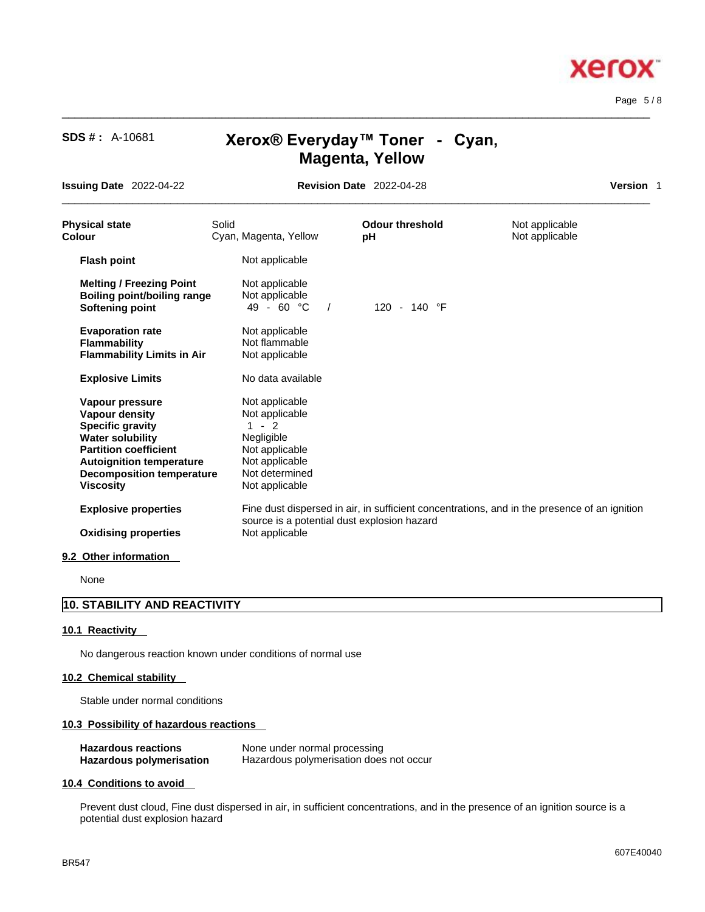Page 5 / 8

x

**xero** 

# **SDS # :** A-10681 **Xerox® Everyday™ Toner -Cyan, Magenta, Yellow**

 $\_$  ,  $\_$  ,  $\_$  ,  $\_$  ,  $\_$  ,  $\_$  ,  $\_$  ,  $\_$  ,  $\_$  ,  $\_$  ,  $\_$  ,  $\_$  ,  $\_$  ,  $\_$  ,  $\_$  ,  $\_$  ,  $\_$  ,  $\_$  ,  $\_$  ,  $\_$  ,  $\_$  ,  $\_$  ,  $\_$  ,  $\_$  ,  $\_$  ,  $\_$  ,  $\_$  ,  $\_$  ,  $\_$  ,  $\_$  ,  $\_$  ,  $\_$  ,  $\_$  ,  $\_$  ,  $\_$  ,  $\_$  ,  $\_$  ,

**Issuing Date** 2022-04-22 **Revision Date** 2022-04-28

 $\_$  ,  $\_$  ,  $\_$  ,  $\_$  ,  $\_$  ,  $\_$  ,  $\_$  ,  $\_$  ,  $\_$  ,  $\_$  ,  $\_$  ,  $\_$  ,  $\_$  ,  $\_$  ,  $\_$  ,  $\_$  ,  $\_$  ,  $\_$  ,  $\_$  ,  $\_$  ,  $\_$  ,  $\_$  ,  $\_$  ,  $\_$  ,  $\_$  ,  $\_$  ,  $\_$  ,  $\_$  ,  $\_$  ,  $\_$  ,  $\_$  ,  $\_$  ,  $\_$  ,  $\_$  ,  $\_$  ,  $\_$  ,  $\_$  ,

| Version |  |
|---------|--|
|         |  |

| <b>Physical state</b><br>Colour                                                                                                                                                                                    | Solid | Cyan, Magenta, Yellow                                                                                                               | <b>Odour threshold</b><br>рH | Not applicable<br>Not applicable                                                             |  |
|--------------------------------------------------------------------------------------------------------------------------------------------------------------------------------------------------------------------|-------|-------------------------------------------------------------------------------------------------------------------------------------|------------------------------|----------------------------------------------------------------------------------------------|--|
| <b>Flash point</b>                                                                                                                                                                                                 |       | Not applicable                                                                                                                      |                              |                                                                                              |  |
| <b>Melting / Freezing Point</b><br><b>Boiling point/boiling range</b><br><b>Softening point</b>                                                                                                                    |       | Not applicable<br>Not applicable<br>49 - 60 $^{\circ}$ C<br>$\sqrt{2}$                                                              | 120 - 140 $\degree$ F        |                                                                                              |  |
| <b>Evaporation rate</b><br><b>Flammability</b><br><b>Flammability Limits in Air</b>                                                                                                                                |       | Not applicable<br>Not flammable<br>Not applicable                                                                                   |                              |                                                                                              |  |
| <b>Explosive Limits</b>                                                                                                                                                                                            |       | No data available                                                                                                                   |                              |                                                                                              |  |
| Vapour pressure<br><b>Vapour density</b><br><b>Specific gravity</b><br><b>Water solubility</b><br><b>Partition coefficient</b><br><b>Autoignition temperature</b><br><b>Decomposition temperature</b><br>Viscosity |       | Not applicable<br>Not applicable<br>$-2$<br>1<br>Negligible<br>Not applicable<br>Not applicable<br>Not determined<br>Not applicable |                              |                                                                                              |  |
| <b>Explosive properties</b>                                                                                                                                                                                        |       | source is a potential dust explosion hazard                                                                                         |                              | Fine dust dispersed in air, in sufficient concentrations, and in the presence of an ignition |  |
| <b>Oxidising properties</b>                                                                                                                                                                                        |       | Not applicable                                                                                                                      |                              |                                                                                              |  |
|                                                                                                                                                                                                                    |       |                                                                                                                                     |                              |                                                                                              |  |

### **9.2 Other information**

None

# **10. STABILITY AND REACTIVITY**

### **10.1 Reactivity**

No dangerous reaction known under conditions of normal use

# **10.2 Chemical stability**

Stable under normal conditions

### **10.3 Possibility of hazardous reactions**

| <b>Hazardous reactions</b> | None under normal processing            |
|----------------------------|-----------------------------------------|
| Hazardous polymerisation   | Hazardous polymerisation does not occur |

### **10.4 Conditions to avoid**

Prevent dust cloud, Fine dust dispersed in air, in sufficient concentrations, and in the presence of an ignition source is a potential dust explosion hazard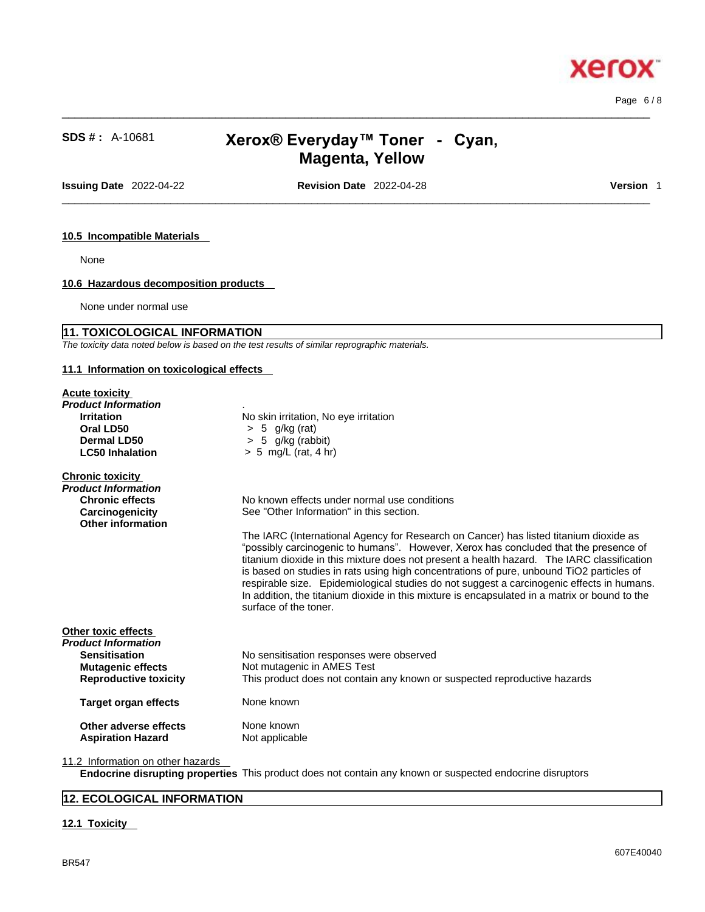Page 6 / 8

**Xerox** 

# **SDS # :** A-10681 **Xerox® Everyday™ Toner -Cyan, Magenta, Yellow**

 $\_$  ,  $\_$  ,  $\_$  ,  $\_$  ,  $\_$  ,  $\_$  ,  $\_$  ,  $\_$  ,  $\_$  ,  $\_$  ,  $\_$  ,  $\_$  ,  $\_$  ,  $\_$  ,  $\_$  ,  $\_$  ,  $\_$  ,  $\_$  ,  $\_$  ,  $\_$  ,  $\_$  ,  $\_$  ,  $\_$  ,  $\_$  ,  $\_$  ,  $\_$  ,  $\_$  ,  $\_$  ,  $\_$  ,  $\_$  ,  $\_$  ,  $\_$  ,  $\_$  ,  $\_$  ,  $\_$  ,  $\_$  ,  $\_$  ,

**Issuing Date** 2022-04-22 **Revision Date** 2022-04-28 **Version** 1

 $\_$  ,  $\_$  ,  $\_$  ,  $\_$  ,  $\_$  ,  $\_$  ,  $\_$  ,  $\_$  ,  $\_$  ,  $\_$  ,  $\_$  ,  $\_$  ,  $\_$  ,  $\_$  ,  $\_$  ,  $\_$  ,  $\_$  ,  $\_$  ,  $\_$  ,  $\_$  ,  $\_$  ,  $\_$  ,  $\_$  ,  $\_$  ,  $\_$  ,  $\_$  ,  $\_$  ,  $\_$  ,  $\_$  ,  $\_$  ,  $\_$  ,  $\_$  ,  $\_$  ,  $\_$  ,  $\_$  ,  $\_$  ,  $\_$  ,

### **10.5 Incompatible Materials**

None

# **10.6 Hazardous decomposition products**

None under normal use

# **11. TOXICOLOGICAL INFORMATION**

*The toxicity data noted below is based on the test results of similar reprographic materials.* 

# **11.1 Information on toxicological effects**

| <b>Acute toxicity</b><br>Product Information<br><b>Irritation</b><br>Oral LD50<br>Dermal LD50<br><b>LC50 Inhalation</b>        | No skin irritation, No eye irritation<br>$> 5$ g/kg (rat)<br>$> 5$ g/kg (rabbit)<br>$> 5$ mg/L (rat, 4 hr)                                                                                                                                                                                                                                                                                                                                                                                                                                                                                                                                                                                 |
|--------------------------------------------------------------------------------------------------------------------------------|--------------------------------------------------------------------------------------------------------------------------------------------------------------------------------------------------------------------------------------------------------------------------------------------------------------------------------------------------------------------------------------------------------------------------------------------------------------------------------------------------------------------------------------------------------------------------------------------------------------------------------------------------------------------------------------------|
| <b>Chronic toxicity</b><br>Product Information<br><b>Chronic effects</b><br>Carcinogenicity<br>Other information               | No known effects under normal use conditions<br>See "Other Information" in this section.<br>The IARC (International Agency for Research on Cancer) has listed titanium dioxide as<br>"possibly carcinogenic to humans". However, Xerox has concluded that the presence of<br>titanium dioxide in this mixture does not present a health hazard. The IARC classification<br>is based on studies in rats using high concentrations of pure, unbound TiO2 particles of<br>respirable size. Epidemiological studies do not suggest a carcinogenic effects in humans.<br>In addition, the titanium dioxide in this mixture is encapsulated in a matrix or bound to the<br>surface of the toner. |
| Other toxic effects<br>Product Information<br><b>Sensitisation</b><br><b>Mutagenic effects</b><br><b>Reproductive toxicity</b> | No sensitisation responses were observed<br>Not mutagenic in AMES Test<br>This product does not contain any known or suspected reproductive hazards                                                                                                                                                                                                                                                                                                                                                                                                                                                                                                                                        |
| Target organ effects                                                                                                           | None known                                                                                                                                                                                                                                                                                                                                                                                                                                                                                                                                                                                                                                                                                 |
| Other adverse effects<br><b>Aspiration Hazard</b>                                                                              | None known<br>Not applicable                                                                                                                                                                                                                                                                                                                                                                                                                                                                                                                                                                                                                                                               |
| the contract of the contract of the contract of the contract of the contract of the contract of the contract of                |                                                                                                                                                                                                                                                                                                                                                                                                                                                                                                                                                                                                                                                                                            |

11.2 Information on other hazards

**Endocrine disrupting properties** This product does not contain any known or suspected endocrine disruptors

# **12. ECOLOGICAL INFORMATION**

### **12.1 Toxicity**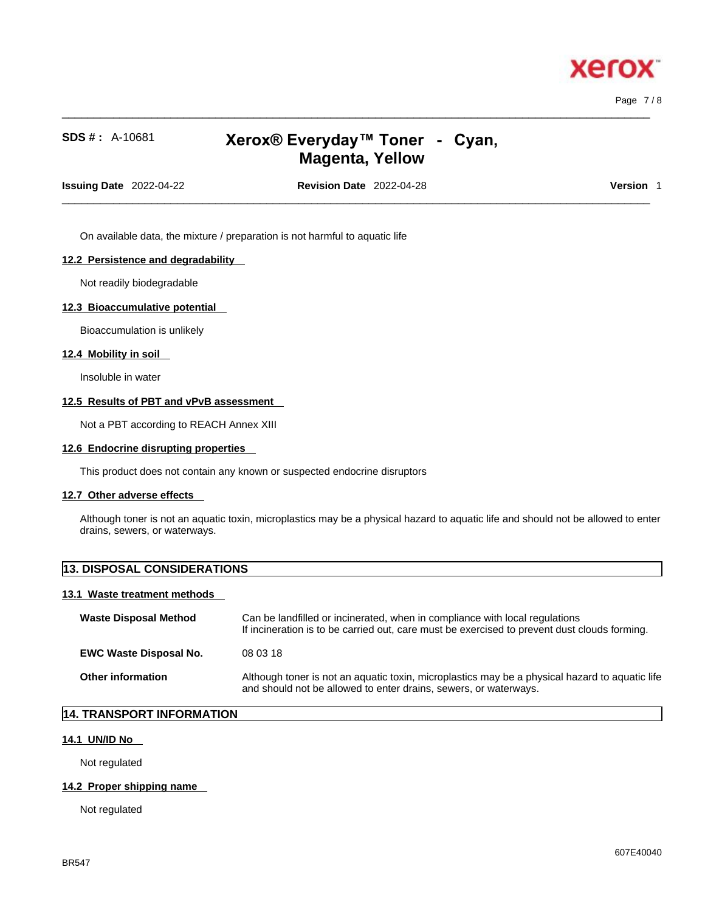

Page 7 / 8

# **SDS # :** A-10681 **Xerox® Everyday™ Toner -Cyan, Magenta, Yellow**

 $\_$  ,  $\_$  ,  $\_$  ,  $\_$  ,  $\_$  ,  $\_$  ,  $\_$  ,  $\_$  ,  $\_$  ,  $\_$  ,  $\_$  ,  $\_$  ,  $\_$  ,  $\_$  ,  $\_$  ,  $\_$  ,  $\_$  ,  $\_$  ,  $\_$  ,  $\_$  ,  $\_$  ,  $\_$  ,  $\_$  ,  $\_$  ,  $\_$  ,  $\_$  ,  $\_$  ,  $\_$  ,  $\_$  ,  $\_$  ,  $\_$  ,  $\_$  ,  $\_$  ,  $\_$  ,  $\_$  ,  $\_$  ,  $\_$  ,

**Issuing Date** 2022-04-22 **Revision Date** 2022-04-28 **Version** 1

 $\_$  ,  $\_$  ,  $\_$  ,  $\_$  ,  $\_$  ,  $\_$  ,  $\_$  ,  $\_$  ,  $\_$  ,  $\_$  ,  $\_$  ,  $\_$  ,  $\_$  ,  $\_$  ,  $\_$  ,  $\_$  ,  $\_$  ,  $\_$  ,  $\_$  ,  $\_$  ,  $\_$  ,  $\_$  ,  $\_$  ,  $\_$  ,  $\_$  ,  $\_$  ,  $\_$  ,  $\_$  ,  $\_$  ,  $\_$  ,  $\_$  ,  $\_$  ,  $\_$  ,  $\_$  ,  $\_$  ,  $\_$  ,  $\_$  ,

On available data, the mixture / preparation is not harmful to aquatic life

### **12.2 Persistence and degradability**

Not readily biodegradable

### **12.3 Bioaccumulative potential**

Bioaccumulation is unlikely

### **12.4 Mobility in soil**

Insoluble in water

### **12.5 Results of PBT and vPvB assessment**

Not a PBT according to REACH Annex XIII

### **12.6 Endocrine disrupting properties**

This product does not contain any known or suspected endocrine disruptors

### **12.7 Other adverse effects**

Although toner is not an aquatic toxin, microplastics may be a physical hazard to aquatic life and should not be allowed to enter drains, sewers, or waterways.

| <b>13. DISPOSAL CONSIDERATIONS</b> |                                                                                                                                                                             |  |
|------------------------------------|-----------------------------------------------------------------------------------------------------------------------------------------------------------------------------|--|
| 13.1 Waste treatment methods       |                                                                                                                                                                             |  |
| <b>Waste Disposal Method</b>       | Can be landfilled or incinerated, when in compliance with local regulations<br>If incineration is to be carried out, care must be exercised to prevent dust clouds forming. |  |
| <b>EWC Waste Disposal No.</b>      | 08 03 18                                                                                                                                                                    |  |
| <b>Other information</b>           | Although toner is not an aquatic toxin, microplastics may be a physical hazard to aquatic life<br>and should not be allowed to enter drains, sewers, or waterways.          |  |

# **14. TRANSPORT INFORMATION**

### **14.1 UN/ID No**

Not regulated

### **14.2 Proper shipping name**

Not regulated